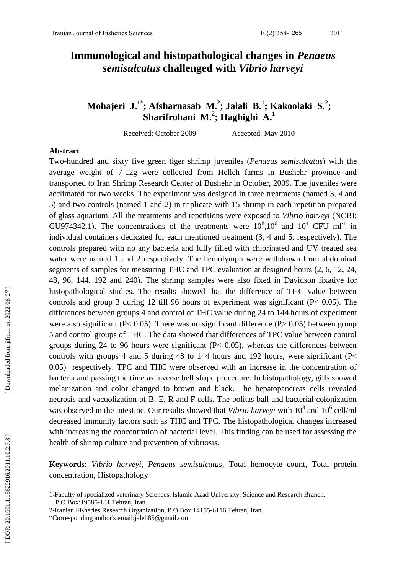# **Immunological and histopathological changes in** *Penaeus semisulcatus* **challenged with**  *Vibrio harvey i*

# Sharifrohani M.<sup>2</sup>; Haghighi A.<sup>1</sup> **Mohajeri J.<sup>1\*</sup>; Afsharnasab M.<sup>2</sup>; Jalali B.<sup>1</sup>; Kakoolaki S.<sup>2</sup>;**

Received: October 2009 Accepted: May 2010

#### **Abstract**

Two -hundred and sixty five green tiger shrimp juveniles (*Penaeus semisulcatus*) with the aver age weight of 7 -12g were collected from Helleh farms in Bushehr province and transported to Iran Shrimp Research Center of Bushehr in October, 2009. The juveniles were acclimated for two weeks. The experiment was designed in three treatments (named 3, 4 and 5) and two controls (named 1 and 2 ) in triplicate with 15 shrimp in each repetition prepared of glass aquarium. All the treatment s and repetitions were exposed to *Vibrio harvey i* (NCBI: GU974342.1). The concentrations of the treatments were  $10^8,10^6$  and  $10^4$  CFU ml<sup>-1</sup> in individual containers dedicated for each mentioned treatment (3, 4 and 5, respectively). The controls prepared with no any bacteria and full y filled with chlorinated and UV treated sea water were named 1 and 2 respectively. The hemolymp h were withdrawn from abdominal segments of samples for measuring THC and TPC evaluation at designed hours (2, 6, 12, 24, 48, 96, 144, 192 and 240) . The shrimp samples were also fixed in Davidson fixative for histopathological studies. The result s showed that the difference of THC value between controls and group 3 during 12 till 96 hours of experiment was significant (P< 0.05). The differences between groups 4 and control of THC value during 24 to 144 hours of experiment were also significant ( $P < 0.05$ ). There was no significant difference ( $P > 0.05$ ) between group 5 and control groups of THC. The data showed that differences of TPC value between control groups during 24 to 96 hours were significant (P< 0.05) , whereas the differences between controls with groups 4 and 5 during 48 to 144 hours and 192 hours, were significant (P< 0.05) respectively. TPC and THC were observed with an increas e in the concentration of bacteria and passing the time as inverse bell shape procedure. In histopathology, gill s showed melanization and color changed to brown and black. The hepatopancreas cells revealed necrosis and vacuolization of B, E, R and F cells. The bolitas ball and bacterial colonization was observed in the intestine. Our results showed that *Vibrio harveyi* with 10<sup>8</sup> and 10<sup>6</sup> cell/ml decre ased immunity factor s s uch as THC and TPC. The histopathological changes increased with increasing the concentration of bacterial level. This finding can be used for assessing the health of shrimp culture and prevention of vibriosis.

**Keyword s**: *Vibrio harvey i*, *Penaeus semisulcatus* , Total hemocyte count, Total protein concentration, Histopathology

\_\_\_\_\_\_\_\_\_\_\_\_\_\_\_\_\_\_

<sup>1-</sup>Faculty of specialized veterinary Sciences, Islamic Azad University, Science and Research Branch, P.O.Box:19585 -181 Tehran, Iran.

<sup>2</sup> -Iranian Fisheries Research Organization, P.O.Box:14155 -6116 Tehran, Iran.

<sup>\*</sup>Corresponding author's email:jaleh85@gmail.com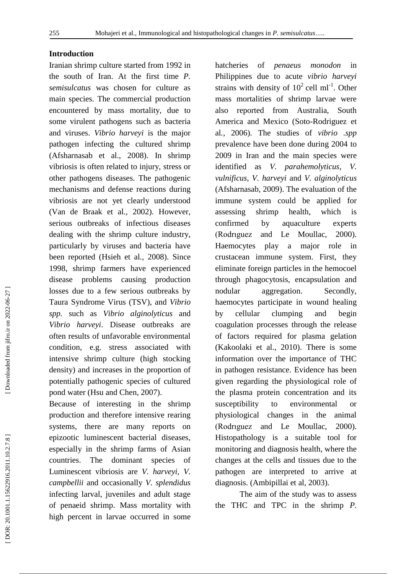#### **Introduction**

Iranian shrimp culture started from 1992 in the south of Iran. At the first time *P. semisulcatus* was chosen for culture as main speci es. The commercial production encountered by mass mortality, due to some virulent pathogens such as bacteria and viruses. *Vibrio harveyi* is the major pathogen infecting the cultured shrimp (Afsharnasab et al., 2008) . In shrimp vibriosis is often related to injury, stress or other pathogens diseases. The pathogenic mechanisms and defense reaction s during vibriosis are not yet clearly understood (Van de Braak et al*.,* 2002). However, serious outbreaks of infectious diseases dealing with the shrimp culture industry, particularly by viruses and bacteria have been reported (Hsieh et al*.,* 2008) . Since 1998, shrimp farmers have experienced disease problems causing production losses due to a few serious outbreaks by Taura Syndrome Virus (TSV), and *Vibrio spp.* such as *Vibrio alginolyticus* and *Vibrio harveyi*. Disease outbreak s are often results of unfavorable environmental condition , e.g. stress associated with intensive shrimp culture (high stocking density) and increases in the proportion of potentially pathogenic species of cultured pond water (Hsu and Chen , 2007) .

Because of interesting in the shrimp production and therefore intensive rearing systems, there are many reports on epizootic luminescent bacterial diseases, especially in the shrimp farms of Asian countries. The dominant species of Lum inescent vibriosis are *V. harveyi, V. campbellii* and occasionally *V. splendidus* infecting larval, juveniles and adult stage of penaeid shrimp. Mass mortality with high percent in larvae occurred in some

hatcheries of *penaeus monodon* in Philippines due to acute *vibrio harveyi* strains with density of  $10^2$  cell ml<sup>-1</sup>. Other mass mortalities of shrimp larvae were also reported from Australia, South America and Mexico (Soto -Rodriguez et al*.,* 2006 ) . The studies of *vibrio .spp* prevalence have been done during 2004 to 2009 in Iran and the main speci es were identified as *V. parahemolyticus*, *V. vulnificus, V. harveyi* and *V. alginolyticus* (Afsharnasab , 2009). The evaluation of the immune system could be applied for assessing shrimp health, which is confirmed by aquaculture experts (Rodrıguez and Le Moullac , 2000). Haemocytes play a major role in crustacean immune system. First, they eliminate foreign particles in the hemocoel through phagocytosis, encapsulation and nodular aggregation. Secondly, haemocytes participate in wound healing by cellular clumping and begin coagulation processes through the release of factors required for plasma gelation (Kakoolaki et al., 2010) . There is some information over the importance of THC in pathogen resistance. Evidence has been given regarding the physiological role of the plasma protein concentration and its susceptibility to environmental or physiological changes in the animal (Rodrıguez and Le Moullac , 2000). Histopathology is a suitable tool for monitoring and diagnosis health, where the changes at the cells and tissues due to the pathogen are interpreted to arrive at diagnosis. (Ambipillai et al, 2003).

The aim of the study was to assess the THC and TPC in the shrimp *P.*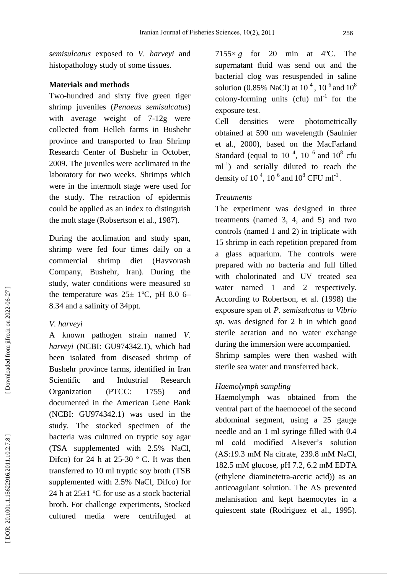*semisulcatus* exposed to *V. harveyi* and histopathology study of some tissues.

## **Material s and methods**

Two -hundred and sixty five green tiger shrimp juveniles (*Penaeus semisulcatus*) with average weight of 7 -12g were collected from Helleh farms in Bushehr province and transported to Iran Shrimp Research Center of Bushehr in October, 2009. The juveniles were acclimated in the laboratory for two weeks. Shrimps which were in the intermolt stage were used for the study. The retraction of epidermis could be applied as an index to distinguish the molt stage (Robsertson et al*.,* 1987).

During the acclimation and study span, shrimp were fed four times daily on a commercial shrimp diet (Havvorash Company, Bushehr, Iran). During the study, water conditions were measured so the temperature was  $25 \pm 1$ °C, pH 8.0 6– 8.34 and a salinity of 34ppt.

# *V. harvey i*

A known pathogen strain named *V. harveyi* (NCBI: GU974342.1), which had been isolated from diseased shrimp of<br>Bushehr province farms, identified in Iran<br>Scientific and Industrial Research<br>Organization (PTCC: 1755) and documented in the American Gene Bank (NCBI: GU974342.1) was used in the study. The stocked specimen of the bacteria was cultured on tryptic soy agar (TSA supplemented with 2.5% NaCl, Difco) for 24 h at 25-30  $\degree$  C. It was then transferred to 10 ml tryptic soy broth (TSB supplemented with 2.5% NaCl, Difco) for 24 h at  $25\pm1$  °C for use as a stock bacterial broth. For challenge experiments, Stocked cultured media were centrifuged

 $7155 \times g$  for 20 min at 4<sup>o</sup>C. The supernatant fluid was send out and the bacterial clog was resuspended in saline solution (0.85% NaCl) at 10<sup> $4$ </sup>, 10<sup> $6$ </sup> and 10<sup>8</sup> colony-forming units (cfu)  $ml^{-1}$  for the exposure test.

Cell densities were photometrically obtained at 590 nm wavelength (Saulnier et al*.,* 2000), based on the MacFarland Standard (equal to 10 $<sup>4</sup>$ , 10 $<sup>6</sup>$  and 10<sup>8</sup> cfu</sup></sup> ml<sup>-1</sup>) and serially diluted to reach the density of 10<sup> $4$ </sup>, 10<sup> $6$ </sup> and 10<sup>8</sup> CFU ml<sup>-1</sup>.

# *Treatments*

The experiment was designed in three treatments (named 3, 4, and 5) and two controls (named 1 and 2) in triplicate with 15 shrimp in each repetition prepared from a glass aquarium. The controls were prepared with no bacteria and full filled with cholorinated and UV treated sea water named 1 and 2 respectively. According to Robertson, et al . (1998) the exposure span of *P. sem isulcatus* to *Vibrio sp*. was designed for 2 h in which good sterile aeration and no water exchange during the immersion were accompanied . Shrimp samples were then washed with sterile sea water and transferred back.

# *Haemolymph sampling*

Haemolymph was obtained from the ventral part of the haemocoel of the second abdominal segment, using a 25 gau ge needle and an 1 ml syringe filled with 0.4 ml cold modified Alsever's solution (AS :19.3 mM Na citrate, 239.8 mM NaCl, 182.5 mM glucose, pH 7.2, 6.2 mM EDTA (ethylene diaminetetra -acetic acid)) as an anticoagulant solution. The AS prevented melanisation and kept haemocytes in a quiescent state (Rodriguez et al., 1995).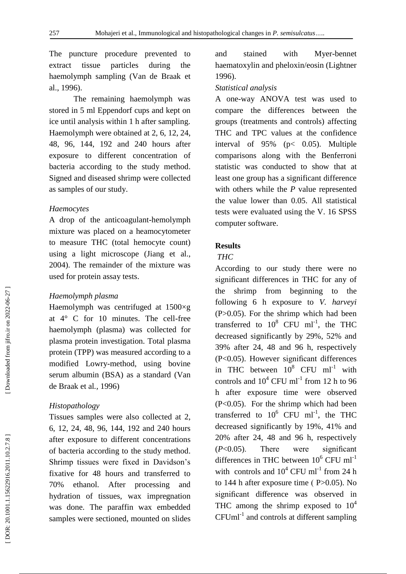The puncture procedure prevented to extract tissue particles during the haemolymph sampling (Van de Braak et al., 1996) .

The remaining haemolymph was stored in 5 ml Eppendorf cups and kept on ice until analysis within 1 h after sampling . Haemolymph were obtained at 2, 6, 12, 24 , 48 , 96, 144, 192 and 240 hours after exposure to different concentration of bacteria according to the study method . Signed and diseased shrimp were collected as samples of our study.

#### *Haemocytes*

A drop of the anticoagulant -hemolymph mixture was placed on a heamocytometer to measure THC (total hemocyte count) using a light microscope (Jiang et al., 200 4). The remainder of the mixture was used for protein assay tests .

## *Haemolymph plasma*

Haemolymph was centrifuged at 1500×g at 4° C for 10 minutes. The cell - free haemolymph (plasma) was collected for plasma protein investigation. Total plasma protein (TPP) was measured according to a modified Lowry -method, using bovine serum albumin (BSA) as a standard (Van de Braak et al*.,* 1996)

## *Histopathology*

Tissues samples were also collected at 2, 6, 12, 24, 48, 96, 144, 192 and 240 hours after exposure to different concentration s of bacteria according to the study method. Shrimp tissues were fixed in Davidson's fixative for 48 hours and transferred to 70% ethanol . After processing and hydration of tissues, wax impregnation was done. The paraffin wax embedded samples were sectioned, mounted on slides

and stained with Myer-bennet haematoxylin and pheloxin/eosin (Lightner 1996).

#### *Statistical analysis*

A one-way ANOVA test was used to compare the differences between the groups (treatments and controls) affecting THC and TPC value s at the confidence interval of 95% (p< 0.05). Multiple comparisons along with the Benferroni statistic was conducted to show that at least one group has a significant difference with others while the *P* value represented the value lower than 0.05. All statistical tests were evaluated using the V. 16 SPSS computer software.

#### **Results**

# *THC*

According to our study there were no significant differences in THC for any of the shrimp from beginning to the following 6 h exposure to *V. harveyi* (P> 0 . 05) . For the shrimp which had been transferred to  $10^8$  CFU ml<sup>-1</sup>, the THC decreased significantly by 29%, 52% and 39% after 24, 48 and 96 h, respectively (P<0.05). However significant differences in THC between  $10^8$  CFU ml<sup>-1</sup> with controls and  $10^4$  CFU ml<sup>-1</sup> from 12 h to 96 h after exposure time were observed (P<0.05) . For the shrimp which had been transferred to  $10^6$  CFU ml<sup>-1</sup>, the THC decreased significantly by 19%, 41% and 20% after 24, 48 and 96 h, respectively (*P*<0.05). There were significant differences in THC between  $10^6$  CFU ml<sup>-1</sup> with controls and  $10^4$  CFU ml<sup>-1</sup> from 24 h to 144 h after exposure time  $(P>0.05)$ . No significant difference was observed in THC among the shrimp exposed to  $10^4$  $CFUml^{-1}$  and controls at different sampling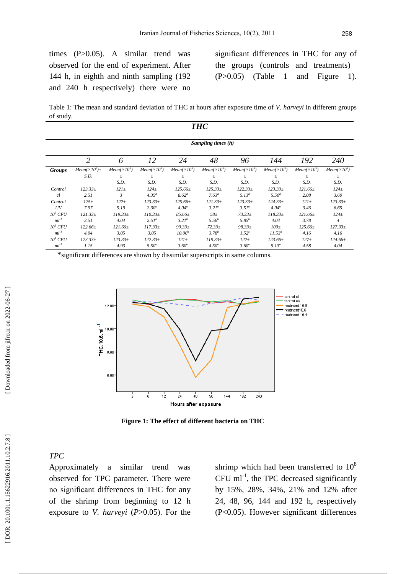times (P>0.05) . A similar trend was observed for the end of experiment. After 144 h, in eighth and ninth sampling (192 and 240 h respectively) there were no

significant differences in THC for any of the groups (controls and treatments ) (P>0.05) (Table 1 and Figure 1 ) .

Table 1: The mean and standard deviation of THC at hours after exposure time of *V. harveyi* in different groups of study.

| <b>THC</b>    |                       |                     |                     |                     |                     |                     |                     |                     |                     |  |  |
|---------------|-----------------------|---------------------|---------------------|---------------------|---------------------|---------------------|---------------------|---------------------|---------------------|--|--|
|               | Sampling times (h)    |                     |                     |                     |                     |                     |                     |                     |                     |  |  |
|               | $\overline{2}$        | 6                   | 12                  | 24                  | 48                  | 96                  | 144                 | 192                 | 240                 |  |  |
| <b>Groups</b> | $Mean(\times 10^5)$ ± | $Mean(\times 10^5)$ | $Mean(\times 10^5)$ | $Mean(\times 10^5)$ | $Mean(\times 10^5)$ | $Mean(\times 10^5)$ | $Mean(\times 10^5)$ | $Mean(\times 10^5)$ | $Mean(\times 10^5)$ |  |  |
|               | S.D.                  | ±.                  | $\pm$               | $\pm$               | $_{\pm}$            | $\pm$               | $\pm$               | $\pm$               | $\pm$               |  |  |
|               |                       | S.D.                | S.D.                | S.D.                | S.D.                | S.D.                | S.D.                | S.D.                | S.D.                |  |  |
| Control       | $123.33\pm$           | $121\pm$            | $124\pm$            | $125.66\pm$         | $125.33\pm$         | $122.33\pm$         | $123.33\pm$         | $121.66\pm$         | $124\pm$            |  |  |
| cl            | 2.51                  | $\mathfrak{Z}$      | $4.35^{a}$          | $8.62^a$            | $7.63^a$            | $5.13^a$            | $5.50^a$            | 2.08                | 3.60                |  |  |
| Control       | $125\pm$              | $122\pm$            | $123.33\pm$         | $125.66\pm$         | $121.33\pm$         | $123.33\pm$         | $124.33\pm$         | $121\pm$            | $123.33\pm$         |  |  |
| UV            | 7.97                  | 5.19                | 2.30 <sup>a</sup>   | $4.04^a$            | 3.21 <sup>a</sup>   | 3.51 <sup>a</sup>   | $4.04^a$            | 3.46                | 6.65                |  |  |
| $10^8$ CFU    | $121.33\pm$           | $119.33\pm$         | $110.33\pm$         | $85.66\pm$          | 58 <sub>±</sub>     | $73.33\pm$          | $118.33\pm$         | $121.66 \pm$        | $124\pm$            |  |  |
| $ml^{-1}$     | 3.51                  | 4.04                | $2.51^{b}$          | 3.21 <sup>b</sup>   | $5.56^{b}$          | $5.85^{b}$          | 4.04                | 3.78                | $\overline{4}$      |  |  |
| $10^6$ CFU    | $122.66\pm$           | $121.66\pm$         | $117.33\pm$         | $99.33 \pm$         | $72.33 \pm$         | $98.33 \pm$         | $100\pm$            | $125.66\pm$         | $127.33\pm$         |  |  |
| $ml^{-1}$     | 4.04                  | 3.05                | 3.05                | $10.06^{b}$         | $3.78^{b}$          | 1.52 <sup>c</sup>   | $11.53^{b}$         | 4.16                | 4.16                |  |  |
| $10^4$ CFU    | $123.33\pm$           | $123.33\pm$         | $122.33\pm$         | $121\pm$            | $119.33\pm$         | $122\pm$            | $123.66\pm$         | $127 +$             | 124.66±             |  |  |
| $ml^{-1}$     | 1.15                  | 4.93                | 5.50 <sup>a</sup>   | 3.60 <sup>a</sup>   | 4.50 <sup>a</sup>   | $3.60^a$            | $5.13^a$            | 4.58                | 4.04                |  |  |

\*significant differences are shown by dissimilar superscripts in same columns.



**Figure 1: The effect of different bacteria on THC**

# *TPC*

Approximately a similar trend was observed for TPC parameter. There were no significant differences in THC for any of the shrimp from beginning to 12 h exposure to *V. harveyi* (*P*>0.05). For the shrimp which had been transferred to  $10^8$  $CFU$  ml<sup>-1</sup>, the TPC decreased significantly by 15%, 28%, 34%, 21% and 12% after 24, 48, 96, 144 and 192 h, respectively (P<0.05). However significant differences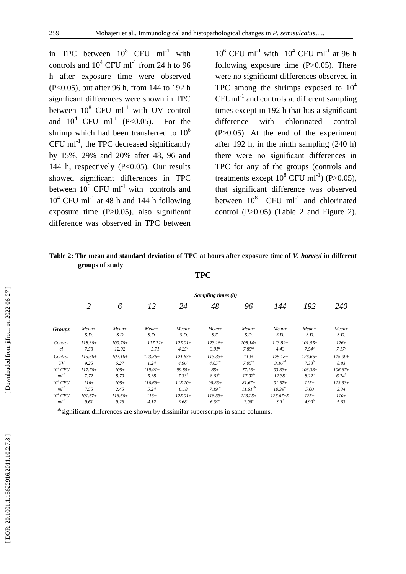in TPC between  $10^8$  CFU ml<sup>-1</sup> with controls and  $10^4$  CFU ml<sup>-1</sup> from 24 h to 96 h after exposure time were observed (P<0.05) , but after 96 h, from 144 to 192 h significant differences were shown in TPC between  $10^8$  CFU ml<sup>-1</sup> with UV control and  $10^4$  CFU ml<sup>-1</sup> (P<0.05). For the shrimp which had been transferred to  $10^6$ CFU  $ml^{-1}$ , the TPC decreased significantly by 15%, 29% and 20% after 48, 96 and 144 h, respectively (P<0.05). Our results showed significant differences in T PC between  $10^6$  CFU ml<sup>-1</sup> with controls and  $10<sup>4</sup>$  CFU ml<sup>-1</sup> at 48 h and 144 h following exposure time  $(P>0.05)$ , also significant difference was observed in TPC between

 $10^6$  CFU ml<sup>-1</sup> with  $10^4$  CFU ml<sup>-1</sup> at 96 h following exposure time  $(P>0.05)$ . There were no significant differences observed in TPC among the shrimps exposed to  $10<sup>4</sup>$ CFUml - 1 and controls at different sampling times except in 192 h that has a significant difference with chlorinated control  $(P>0.05)$ . At the end of the experiment after 192 h, in the ninth sampling (240 h) there were no significant differences in TPC for any of the groups (controls and treatments except  $10^8$  CFU ml<sup>-1</sup>) (P>0.05), that significant difference was observed between  $10^8$  CFU ml<sup>-1</sup> and chlorinated control  $(P>0.05)$  (Table 2 and Figure 2).

**Table 2: The mean and standard deviation of TPC at hours after exposure time of** *V. harveyi* **in different groups of study**

| <b>TPC</b>    |                    |             |              |              |             |              |                 |             |                  |  |  |  |
|---------------|--------------------|-------------|--------------|--------------|-------------|--------------|-----------------|-------------|------------------|--|--|--|
|               | Sampling times (h) |             |              |              |             |              |                 |             |                  |  |  |  |
|               | $\overline{2}$     | 6           | 12           | 24           | 48          | 96           | 144             | 192         | <b>240</b>       |  |  |  |
| <b>Groups</b> | $Mean\pm$          | $Mean\pm$   | $Mean\pm$    | $Mean \pm$   | $Mean\pm$   | $Mean\pm$    | $Mean\pm$       | $Mean\pm$   | $Mean\pm$        |  |  |  |
|               | S.D.               | S.D.        | S.D.         | S.D.         | S.D.        | S.D.         | S.D.            | S.D.        | S.D.             |  |  |  |
| Control       | $118.36\pm$        | $109.76\pm$ | $117.72 \pm$ | $125.01 \pm$ | $123.16\pm$ | $108.14 \pm$ | $113.82 \pm$    | $101.55\pm$ | 126 <sub>±</sub> |  |  |  |
| cl            | 7.58               | 12.02       | 5.71         | $4.25^a$     | $3.01^a$    | $7.85^{ac}$  | 4.43            | $7.54^a$    | $7.17^a$         |  |  |  |
| Control       | $115.66\pm$        | $102.16\pm$ | $123.36\pm$  | $121.63\pm$  | $113.33\pm$ | $110\pm$     | $125.18\pm$     | $126.66\pm$ | $115.99\pm$      |  |  |  |
| UV            | 9.25               | 6.27        | 1.24         | $4.96^a$     | $4.05^{ac}$ | $7.05^{ac}$  | $3.16^{ad}$     | $7.38^{b}$  | 8.83             |  |  |  |
| $10^8$ CFU    | $117.76\pm$        | $105\pm$    | $119.91\pm$  | $99.85 \pm$  | $85\pm$     | $77.16 \pm$  | $93.33 \pm$     | $103.33\pm$ | $106.67\pm$      |  |  |  |
| $ml^{-1}$     | 7.72               | 8.79        | 5.38         | $7.33^{b}$   | $8.63^{b}$  | $17.02^{b}$  | $12.38^{b}$     | $8.22^a$    | $6.74^{b}$       |  |  |  |
| $10^6$ CFU    | $116+$             | $105\pm$    | $116.66\pm$  | $115.10\pm$  | $98.33 \pm$ | $81.67+$     | $91.67 \pm$     | $115\pm$    | $113.33\pm$      |  |  |  |
| $ml^{-1}$     | 7.55               | 2.45        | 5.24         | 6.18         | $7.19^{bc}$ | $11.61^{ab}$ | $10.39^{cb}$    | 5.00        | 3.34             |  |  |  |
| $10^4$ CFU    | $101.67\pm$        | $116.66\pm$ | $113\pm$     | $125.01 \pm$ | $118.33\pm$ | $123.25 \pm$ | $126.67 \pm 5.$ | $125\pm$    | 110 <sub>±</sub> |  |  |  |
| $ml-1$        | 9.61               | 9.26        | 4.12         | $3.68^{a}$   | $6.39^{a}$  | $2.08^{c}$   | 99 <sup>d</sup> | $4.99^{b}$  | 5.63             |  |  |  |

\*significant differences are shown by dissimilar superscripts in same columns.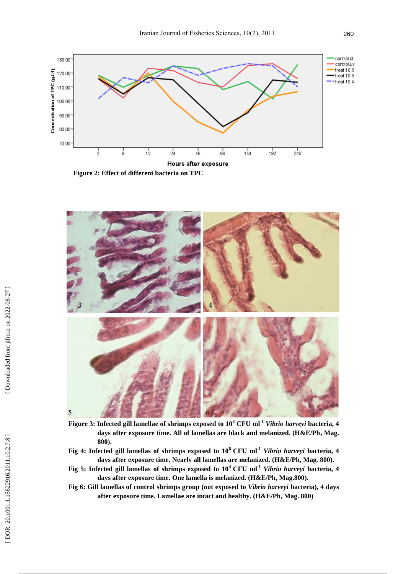

**Figure 2: Effect of different bacteria on TPC**



**Figure 3: Infected gill lamella e of shrimps exposed to 10 <sup>8</sup> CFU ml - <sup>1</sup>** *Vibrio harveyi* **bacteria, 4 days after exposure time. All of lamellas are black and melanized. (H&E/Ph, Mag. 800 ) .**

- **Fig 4: Infected gill lamellas of shrimps exposed to 10<sup>6</sup>CFU ml - <sup>1</sup>** *Vibrio harveyi* **bacteria, 4 days after exposure time. Nearly all lamellas are melanized. (H&E/Ph, Mag. 800 ) .**
- **Fig 5: Infected gill lamellas of shrimps exposed to 10<sup>4</sup>CFU ml - <sup>1</sup>** *Vibrio harveyi* **bacteria, 4 days after exposure time. One lamella is melanized. (H&E/Ph, Mag.800 ) .**
- **Fig 6: Gill lamellas of control shrimps group (not exposed to** *Vibrio harveyi* **bacteria), 4 days after exposure time. Lamella e are intact and healthy. (H&E/Ph, Mag. 800 )**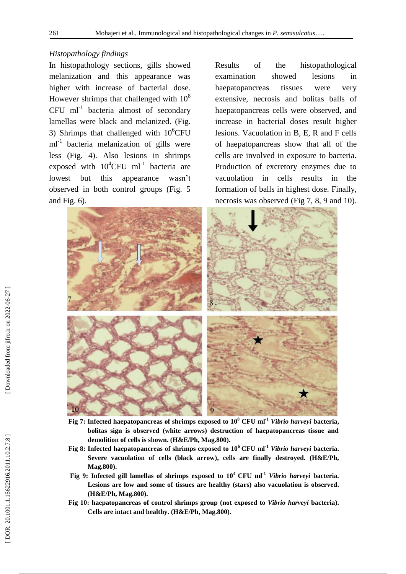#### *Histopathology findings*

In histopathology sections, gills showed melani zation and this appearance was higher with increase of bacterial dose. However shrimps that challenged with  $10^8$  $CFU$  ml<sup>-1</sup> bacteria almost of secondary lamellas were black and melanized. (Fig. 3) Shrimps that challenged with  $10^6$ CFU ml<sup>-1</sup> bacteria melanization of gills were less (Fig. 4). Also lesions in shrimps exposed with  $10^4$ CFU ml<sup>-1</sup> bacteria are lowest but this appearance wasn't observed in both control groups (Fig. 5 and Fig. 6) .

Results of the histopathological examination showed lesions in haepatopancreas tissues were very extensive, necrosis and bolitas balls of haepatopancreas cells were observed , and increase in bacterial doses result higher lesions. Vacuolation in B, E, R and F cells of haepatopancreas show that all of the cells are involved in exposure to bacteria. Production of excretory enzymes due to vacuolation in cells results in the formation of balls in highest dose. Finally, necrosis was observed (Fig 7, 8, 9 and 10) .



- **Fig 7: Infected haepatopancreas of shrimps exposed to 10 <sup>8</sup> CFU ml - <sup>1</sup>** *Vibrio harveyi* **bacteria, bolitas sign is observed (white arrows) destruction of haepatopancreas tissue and demolition of cells is shown . (H&E/Ph, Mag.800 ) .**
- **Fig 8: Infected haepatopancreas of shrimps exposed to 10<sup>6</sup>CFU ml - <sup>1</sup>** *Vibrio harveyi* **bacteria. Severe vacuolation of cells (black arrow) , cells are finally destroyed. (H&E/Ph, Mag.800 ) .**
- **Fig 9: Infected gill lamellas of shrimps exposed to 10<sup>4</sup>CFU ml - <sup>1</sup>** *Vibrio harveyi* **bacteria. Lesions are low and some of tissues are healthy (stars) also vacuolation is observe d. (H&E/Ph, Mag.800 ) .**
- **Fig 10: haepatopancreas of control shrimps group (not exposed to** *Vibrio harveyi* **bacteria). Cells are intact and healthy. (H&E/Ph, Mag.800 ) .**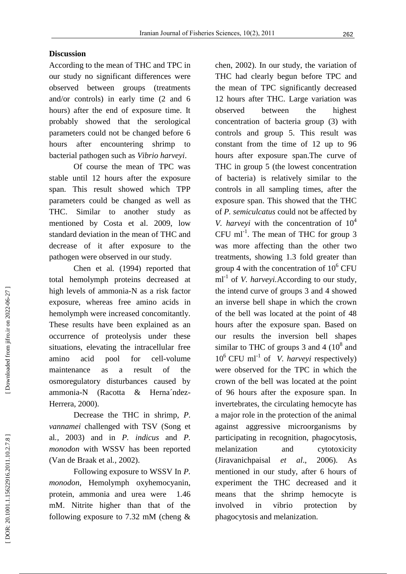# **Discussion**

According to the mean of THC and TPC in our study no significant differences were observed between groups (treatments and/or controls) in early time (2 and 6 hours) after the end of exposure time. It probably showed that the serological parameters could not be changed before 6 hours after encountering shrimp to bacterial pathogen such as *Vibrio harveyi*.

Of course the mean of TPC was stable until 12 hours after the exposure span. This result showed which TPP parameters could be change d as well as THC . Similar to another study as mentioned by Costa et al . 200 9 , low standard deviation in the mean of THC and decrease of it after exposure to the pathogen were observed in our study.

Chen et al *.* (1994) reported that total hemolymph proteins decreased at high levels of ammonia -N as a risk factor exposure, whereas free amino acids in hemolymph were increased concomitantly. These results have been explained as an occurrence of proteolysis under these situations, elevating the intracellular free amino acid pool for cell-volume maintenance as a result of the osmoregulatory disturbances caused by ammonia -N (Racotta & Herna´ndez - Herrera , 2000) .

Decrease the THC in shrimp, *P . vannamei* challenged with TSV (Song et al*.,* 2003) and in *P . indicus* and *P. monodon* with WSSV has been reported (Van de Braak et al*.,* 2002).

Following exposure to WSSV In *P. monodon*, Hemolymph oxyhemocyanin, protein, ammonia and urea were 1.46 mM. Nitrite higher than that of the following exposure to 7.32 mM (cheng &

chen , 2002). In our study, the variation of THC had clearly begun before TPC and the mean of TPC significantly decreased 12 hours after THC. Large variation was observed between the highest concentration of bacteria group (3) with controls and group 5. This result was constant from the time of 12 up to 96 hours after exposure span.The curve of THC in group 5 (the lowest concentration of bacteria) is relatively similar to the controls in all sampling time s, after the exposure span. This showed that the THC of *P. semiculcatus* could not be affected by *V. harveyi* with the concentration of 10 4 CFU  $ml^{-1}$ . The mean of THC for group 3 was more affecting than the other two treatments, showing 1.3 fold greater than group 4 with the concentration of  $10^6$  CFU ml<sup>-1</sup> of *V. harveyi.* According to our study, the intend curve of groups 3 and 4 showed an inverse bell shape in which the crown of the bell was located at the point of 48 hours after the exposure span. Based on our results the inversion bell shapes similar to THC of groups 3 and 4  $(10^8 \text{ and } 10^9 \text{ m})$ 10<sup>6</sup> CFU ml<sup>-1</sup> of *V. harveyi* respectively) were observed for the TPC in which the crown of the bell was located at the point of 96 hours after the exposure span. In invert ebrates, the circul ating hemocyte ha s a major role in the protection of the animal against aggressive microorganisms by participating in recognition, phagocytosis, melanization a nd cytotoxi city (Jiravanichpaisal *et al*., 2006). As mentioned in our study, after 6 hours of experiment the THC decreased and it means that the shrimp hemocyte is involved in vibrio protection by phagocytosis and melanization.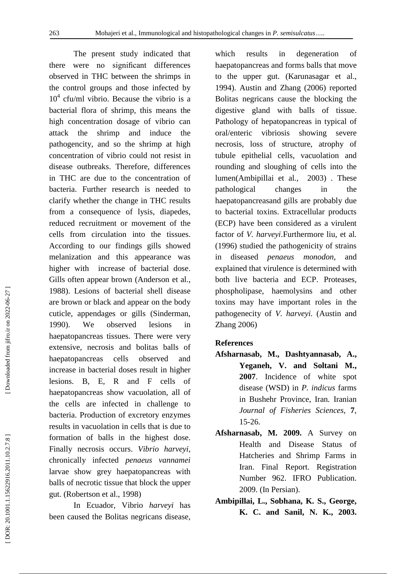The present study indicated that there were no significant differences observed in THC between the shrimps in the control groups and those infected by 10 4 cfu/ml vibrio. Be cause the vibrio is a bacterial flora of shrimp, this means the high concentration dosage of vibrio can attack the shrimp and induce the pathogencity , and so the shrimp at high concentration of vibrio could not resist in disease outbreak s. Therefore, differences in THC are due to the concentration of bacteria. Further research is needed to clarify whether the change in THC results from a consequence of lysis, diapedes, reduced recruitment or movement of the cells from circulation into the tissues . According to our findings gills showed melanization and this appearance was higher with increase of bacterial dose. Gills often appear brown (Anderson et al., 1988). Lesions of bacterial shell disease are brown or black and appear on the body cuticle, appendages or gills (Sinderman, 1990). We observed lesions in haepatopancreas tissues. There were very extensive, necrosis and bolitas balls of haepatopancreas cells observed and increase in bacterial doses result in higher lesions. B, E, R and F cells of haepatopancreas show vacuolation, all of the cells are infected in challenge to bacteria. Production of excretory enzymes results in vacuolation in cells that is due to formation of balls in the highest dose. Finally necrosis occurs . *Vibrio harveyi,* chronically infected *penaeus vannamei* larvae show grey haepatopancreas with balls of necrotic tissue that block the upper gut. (Robertson et al., 1998 )

In Ecuador, Vibrio *harveyi* has been caused the Bolitas negricans disease, which results in degeneration of haepatopancreas and form s balls that move to the upper gut. (Karunasagar et al., 1994). Austin and Zhang (2006 ) reported Bolitas negricans cause the blocking the digestive gland with balls of tissue . Pathology of hepatopancreas in typical of oral/enteric vibriosis showing severe necrosis, loss of structure, atrophy of tubule epithelial cells, vacuolation and rounding and sloughing of cells into the lumen(Ambipillai et al*.,* 2003) . These pathological changes in the haepatopancreasand gills are probably due to bacterial toxins. Extracellular products (ECP) have been considered as a virulent factor of *V. harveyi*. Furthermore liu, et al. (1996) studied the pathogenicity of strains in diseased *penaeus monodon* , and explained that virulence is determined with both live bacteria and ECP. Proteases, phospholipase, haemolysins and other toxins may have important roles in the pathogenecity of *V. harveyi .* (Austin and Zhang 2006)

#### **References**

- **Afsharnasab, M., Dashtyannasab, A., Yeganeh, V. and Soltani M., 2007** . Incidence of white spot disease (WSD) in *P. indicus* farms in Bushehr Province, Iran *.* Iranian *Journal of Fisheries Science s* , **7**, 15 -26 .
- **Afsharnasab , M. 2009.** A Survey on Health and Disease Status of Hatcheries and Shrimp Farms in Iran. Final Report. Registration Number 962. IFRO Publication. 2009. (In Persian).
- **Ambipillai, L., Sobhana, K. S., George, K. C. and Sanil, N. K., 2003.**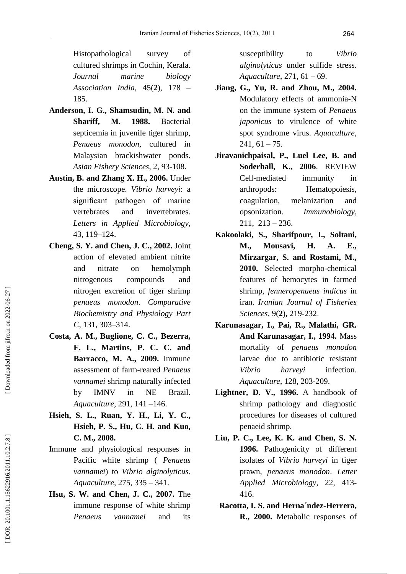Histopathological survey of cultured shrimps in Cochin, Kerala . *Journal marine biology Association India*, 45(**2**), 178 – 185.

- **Anderson, I. G., Shamsudin, M. N. and Shariff, M. 1988.** Bacterial septicemia in juvenile tiger shrimp, *Penaeus monodon*, cultured in Malaysian brackishwater ponds. *Asian Fishery Sci ences* , 2 , 93 -108.
- **Austin, B. and Zhang X. H., 2006.** Under the microscope. *Vibrio harveyi* : a significant pathogen of marine vertebrates and invertebrates. *Letters in Applied Microbiology* , 43 , 119 –124.
- **Cheng, S. Y. and Chen, J. C., 2002.** Joint action of elevated ambient nitrite and nitrate on hemolymph nitrogenous compounds and nitrogen excretion of tiger shrimp *penaeus monodon*. *Comparative Biochemistry and Physiology Part C*, 131, 303–314.
- **Costa, A. M., Buglione, C. C., Bezerra, F. L., Martins, P. C. C. and Barracco, M. A., 2009.** Immune assessment of farm -reared *Penaeus vannamei* shrimp naturally infected by IMNV in NE Brazil. *Aquaculture*, 291, 141 –14 6 .
- **Hsieh, S. L., Ruan, Y. H., Li, Y. C., Hsieh, P. S., Hu, C. H. and Kuo, C. M., 2008.**
- Immune and physiological responses in Pacific white shrimp ( *Penaeus vannamei* ) to *Vibrio alginolyticus*. *Aquaculture* , 275, 335 – 341 .
- **Hsu, S. W. and Chen, J. C., 2007.** The immune response of white shrimp *Penaeus vannamei* and its

susceptibility to *Vibrio alginolyticus* under sulfide stress. *Aquaculture* , 271 , 61 – 69.

- **Jiang, G., Yu, R. and Zhou, M., 2004.** Modulatory effects of ammonia -N on the immune system of *Penaeus japonicus* to virulence of white spot syndrome virus. *Aquaculture*,  $241, 61 - 75.$
- **Jiravanichpaisal, P., Luel Lee, B. and Soderhall, K., 2006**. REVIEW Cell-mediated immunity in arthropods: Hematopoiesis, coagulation, melanization and opsonization. *Immunobiology* , 211, 213 – 236.
- **Kakoolaki, S., Sharifpour, I., Soltani, M., Mousavi, H. A. E., Mirzargar, S. and Rostami, M., 2010 .** Selected morpho -chemical features of hemocytes in farmed shrimp, *fenneropenaeus indicus* in iran. *Iranian Journal of Fisheries Sciences,* 9( **2** ) **,** 219 -232 .
- **Karunasagar, I., Pai, R., Malathi, GR. And Karunasagar, I., 1994.** Mass mortality of *penaeus monodon* larvae due to antibiotic resistant *Vibrio harveyi* infection. *Aquaculture* , 128 , 203 -209.
- **Lightner, D. V. , 1996.** A handbook of shrimp pathology and diagnostic procedures for diseases of cultured penaeid shrimp.
- **Liu, P. C., Lee, K. K. and Chen, S. N. 1996.** Pathogenicity of different isolates of *Vibrio harveyi* in tiger prawn, *penaeus monodon*. *Letter Applied Microbiology*, 22, 413 - 416.
- Racotta, I. S. and Herna ndez-Herrera, **R., 2000.** Metabolic responses of